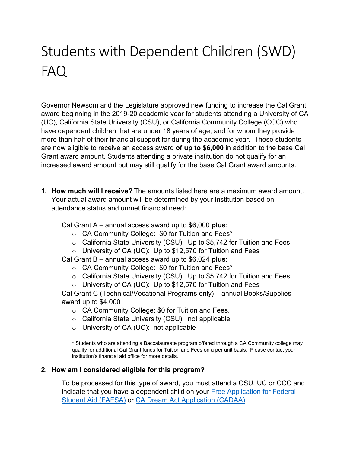# Students with Dependent Children (SWD) FAQ

Governor Newsom and the Legislature approved new funding to increase the Cal Grant award beginning in the 2019-20 academic year for students attending a University of CA (UC), California State University (CSU), or California Community College (CCC) who have dependent children that are under 18 years of age, and for whom they provide more than half of their financial support for during the academic year. These students are now eligible to receive an access award **of up to \$6,000** in addition to the base Cal Grant award amount. Students attending a private institution do not qualify for an increased award amount but may still qualify for the base Cal Grant award amounts.

**1. How much will I receive?** The amounts listed here are a maximum award amount. Your actual award amount will be determined by your institution based on attendance status and unmet financial need:

Cal Grant A – annual access award up to \$6,000 **plus**:

- o CA Community College: \$0 for Tuition and Fees\*
- o California State University (CSU): Up to \$5,742 for Tuition and Fees
- o University of CA (UC): Up to \$12,570 for Tuition and Fees
- Cal Grant B annual access award up to \$6,024 **plus**:
	- o CA Community College: \$0 for Tuition and Fees\*
	- o California State University (CSU): Up to \$5,742 for Tuition and Fees
	- o University of CA (UC): Up to \$12,570 for Tuition and Fees

Cal Grant C (Technical/Vocational Programs only) – annual Books/Supplies award up to \$4,000

- o CA Community College: \$0 for Tuition and Fees.
- o California State University (CSU): not applicable
- o University of CA (UC): not applicable

\* Students who are attending a Baccalaureate program offered through a CA Community college may qualify for additional Cal Grant funds for Tuition and Fees on a per unit basis. Please contact your institution's financial aid office for more details.

# **2. How am I considered eligible for this program?**

To be processed for this type of award, you must attend a CSU, UC or CCC and indicate that you have a dependent child on your [Free Application for Federal](https://studentaid.gov/h/apply-for-aid/fafsa)  [Student Aid \(FAFSA\)](https://studentaid.gov/h/apply-for-aid/fafsa) or [CA Dream Act Application \(CADAA\)](https://dream.csac.ca.gov/)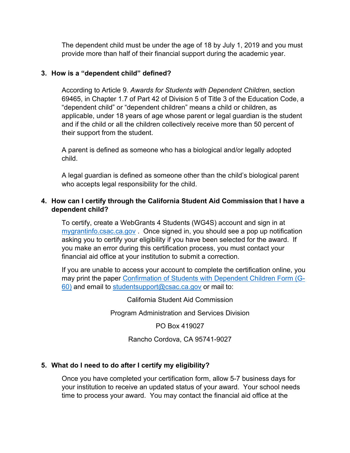The dependent child must be under the age of 18 by July 1, 2019 and you must provide more than half of their financial support during the academic year.

### **3. How is a "dependent child" defined?**

According to Article 9. *Awards for Students with Dependent Children*, section 69465, in Chapter 1.7 of Part 42 of Division 5 of Title 3 of the Education Code, a "dependent child" or "dependent children" means a child or children, as applicable, under 18 years of age whose parent or legal guardian is the student and if the child or all the children collectively receive more than 50 percent of their support from the student.

A parent is defined as someone who has a biological and/or legally adopted child.

A legal guardian is defined as someone other than the child's biological parent who accepts legal responsibility for the child.

### **4. How can I certify through the California Student Aid Commission that I have a dependent child?**

To certify, create a WebGrants 4 Students (WG4S) account and sign in at [mygrantinfo.csac.ca.gov](https://mygrantinfo.csac.ca.gov/) . Once signed in, you should see a pop up notification asking you to certify your eligibility if you have been selected for the award. If you make an error during this certification process, you must contact your financial aid office at your institution to submit a correction.

If you are unable to access your account to complete the certification online, you may print the paper [Confirmation of Students with Dependent Children Form \(G-](https://www.csac.ca.gov/post/confirmation-eligibility-students-dependents)[60\)](https://www.csac.ca.gov/post/confirmation-eligibility-students-dependents) and email to [studentsupport@csac.ca.gov](mailto:studentsupport@csac.ca.gov) or mail to:

California Student Aid Commission

Program Administration and Services Division

PO Box 419027

Rancho Cordova, CA 95741-9027

# **5. What do I need to do after I certify my eligibility?**

Once you have completed your certification form, allow 5-7 business days for your institution to receive an updated status of your award. Your school needs time to process your award. You may contact the financial aid office at the